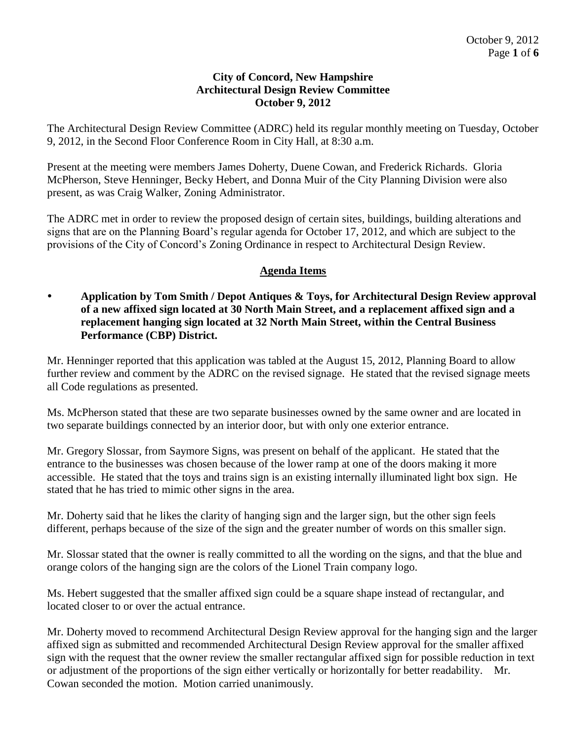### **City of Concord, New Hampshire Architectural Design Review Committee October 9, 2012**

The Architectural Design Review Committee (ADRC) held its regular monthly meeting on Tuesday, October 9, 2012, in the Second Floor Conference Room in City Hall, at 8:30 a.m.

Present at the meeting were members James Doherty, Duene Cowan, and Frederick Richards. Gloria McPherson, Steve Henninger, Becky Hebert, and Donna Muir of the City Planning Division were also present, as was Craig Walker, Zoning Administrator.

The ADRC met in order to review the proposed design of certain sites, buildings, building alterations and signs that are on the Planning Board's regular agenda for October 17, 2012, and which are subject to the provisions of the City of Concord's Zoning Ordinance in respect to Architectural Design Review.

# **Agenda Items**

 **Application by Tom Smith / Depot Antiques & Toys, for Architectural Design Review approval of a new affixed sign located at 30 North Main Street, and a replacement affixed sign and a replacement hanging sign located at 32 North Main Street, within the Central Business Performance (CBP) District.** 

Mr. Henninger reported that this application was tabled at the August 15, 2012, Planning Board to allow further review and comment by the ADRC on the revised signage. He stated that the revised signage meets all Code regulations as presented.

Ms. McPherson stated that these are two separate businesses owned by the same owner and are located in two separate buildings connected by an interior door, but with only one exterior entrance.

Mr. Gregory Slossar, from Saymore Signs, was present on behalf of the applicant. He stated that the entrance to the businesses was chosen because of the lower ramp at one of the doors making it more accessible. He stated that the toys and trains sign is an existing internally illuminated light box sign. He stated that he has tried to mimic other signs in the area.

Mr. Doherty said that he likes the clarity of hanging sign and the larger sign, but the other sign feels different, perhaps because of the size of the sign and the greater number of words on this smaller sign.

Mr. Slossar stated that the owner is really committed to all the wording on the signs, and that the blue and orange colors of the hanging sign are the colors of the Lionel Train company logo.

Ms. Hebert suggested that the smaller affixed sign could be a square shape instead of rectangular, and located closer to or over the actual entrance.

Mr. Doherty moved to recommend Architectural Design Review approval for the hanging sign and the larger affixed sign as submitted and recommended Architectural Design Review approval for the smaller affixed sign with the request that the owner review the smaller rectangular affixed sign for possible reduction in text or adjustment of the proportions of the sign either vertically or horizontally for better readability. Mr. Cowan seconded the motion. Motion carried unanimously.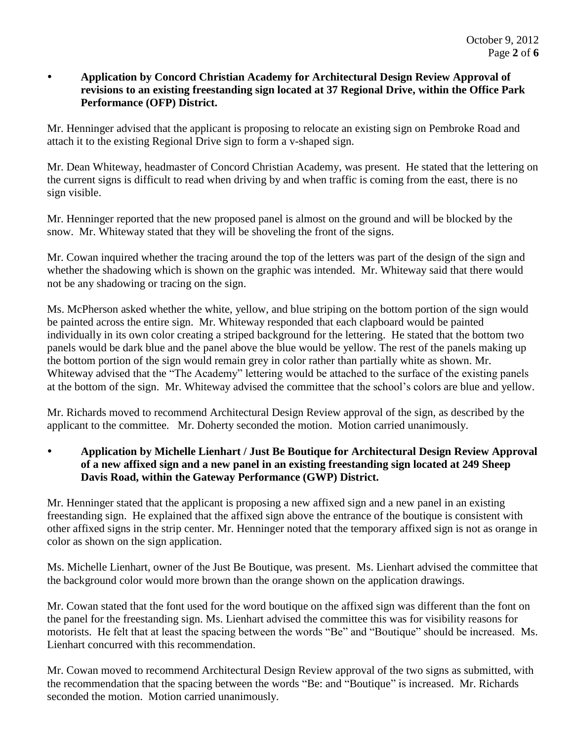### **Application by Concord Christian Academy for Architectural Design Review Approval of revisions to an existing freestanding sign located at 37 Regional Drive, within the Office Park Performance (OFP) District.**

Mr. Henninger advised that the applicant is proposing to relocate an existing sign on Pembroke Road and attach it to the existing Regional Drive sign to form a v-shaped sign.

Mr. Dean Whiteway, headmaster of Concord Christian Academy, was present. He stated that the lettering on the current signs is difficult to read when driving by and when traffic is coming from the east, there is no sign visible.

Mr. Henninger reported that the new proposed panel is almost on the ground and will be blocked by the snow. Mr. Whiteway stated that they will be shoveling the front of the signs.

Mr. Cowan inquired whether the tracing around the top of the letters was part of the design of the sign and whether the shadowing which is shown on the graphic was intended. Mr. Whiteway said that there would not be any shadowing or tracing on the sign.

Ms. McPherson asked whether the white, yellow, and blue striping on the bottom portion of the sign would be painted across the entire sign. Mr. Whiteway responded that each clapboard would be painted individually in its own color creating a striped background for the lettering. He stated that the bottom two panels would be dark blue and the panel above the blue would be yellow. The rest of the panels making up the bottom portion of the sign would remain grey in color rather than partially white as shown. Mr. Whiteway advised that the "The Academy" lettering would be attached to the surface of the existing panels at the bottom of the sign. Mr. Whiteway advised the committee that the school's colors are blue and yellow.

Mr. Richards moved to recommend Architectural Design Review approval of the sign, as described by the applicant to the committee. Mr. Doherty seconded the motion. Motion carried unanimously.

 **Application by Michelle Lienhart / Just Be Boutique for Architectural Design Review Approval of a new affixed sign and a new panel in an existing freestanding sign located at 249 Sheep Davis Road, within the Gateway Performance (GWP) District.** 

Mr. Henninger stated that the applicant is proposing a new affixed sign and a new panel in an existing freestanding sign. He explained that the affixed sign above the entrance of the boutique is consistent with other affixed signs in the strip center. Mr. Henninger noted that the temporary affixed sign is not as orange in color as shown on the sign application.

Ms. Michelle Lienhart, owner of the Just Be Boutique, was present. Ms. Lienhart advised the committee that the background color would more brown than the orange shown on the application drawings.

Mr. Cowan stated that the font used for the word boutique on the affixed sign was different than the font on the panel for the freestanding sign. Ms. Lienhart advised the committee this was for visibility reasons for motorists. He felt that at least the spacing between the words "Be" and "Boutique" should be increased. Ms. Lienhart concurred with this recommendation.

Mr. Cowan moved to recommend Architectural Design Review approval of the two signs as submitted, with the recommendation that the spacing between the words "Be: and "Boutique" is increased. Mr. Richards seconded the motion. Motion carried unanimously.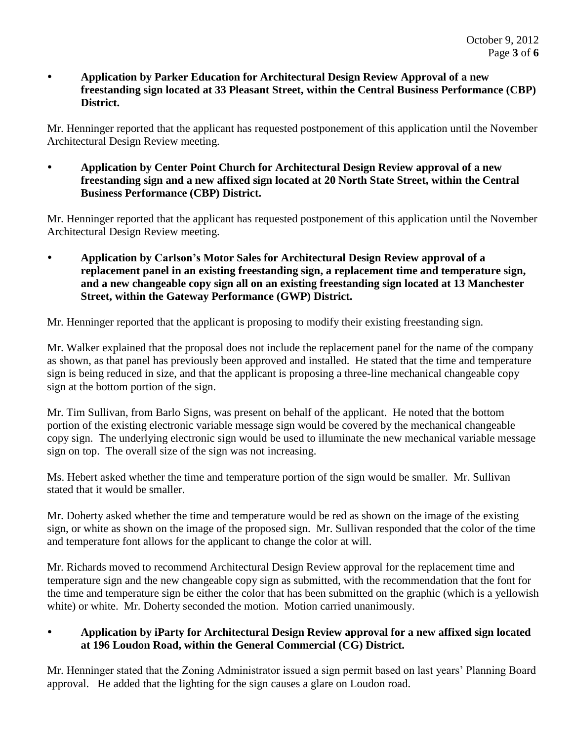### **Application by Parker Education for Architectural Design Review Approval of a new freestanding sign located at 33 Pleasant Street, within the Central Business Performance (CBP) District.**

Mr. Henninger reported that the applicant has requested postponement of this application until the November Architectural Design Review meeting.

 **Application by Center Point Church for Architectural Design Review approval of a new freestanding sign and a new affixed sign located at 20 North State Street, within the Central Business Performance (CBP) District.** 

Mr. Henninger reported that the applicant has requested postponement of this application until the November Architectural Design Review meeting.

 **Application by Carlson's Motor Sales for Architectural Design Review approval of a replacement panel in an existing freestanding sign, a replacement time and temperature sign, and a new changeable copy sign all on an existing freestanding sign located at 13 Manchester Street, within the Gateway Performance (GWP) District.** 

Mr. Henninger reported that the applicant is proposing to modify their existing freestanding sign.

Mr. Walker explained that the proposal does not include the replacement panel for the name of the company as shown, as that panel has previously been approved and installed. He stated that the time and temperature sign is being reduced in size, and that the applicant is proposing a three-line mechanical changeable copy sign at the bottom portion of the sign.

Mr. Tim Sullivan, from Barlo Signs, was present on behalf of the applicant. He noted that the bottom portion of the existing electronic variable message sign would be covered by the mechanical changeable copy sign. The underlying electronic sign would be used to illuminate the new mechanical variable message sign on top. The overall size of the sign was not increasing.

Ms. Hebert asked whether the time and temperature portion of the sign would be smaller. Mr. Sullivan stated that it would be smaller.

Mr. Doherty asked whether the time and temperature would be red as shown on the image of the existing sign, or white as shown on the image of the proposed sign. Mr. Sullivan responded that the color of the time and temperature font allows for the applicant to change the color at will.

Mr. Richards moved to recommend Architectural Design Review approval for the replacement time and temperature sign and the new changeable copy sign as submitted, with the recommendation that the font for the time and temperature sign be either the color that has been submitted on the graphic (which is a yellowish white) or white. Mr. Doherty seconded the motion. Motion carried unanimously.

### **Application by iParty for Architectural Design Review approval for a new affixed sign located at 196 Loudon Road, within the General Commercial (CG) District.**

Mr. Henninger stated that the Zoning Administrator issued a sign permit based on last years' Planning Board approval. He added that the lighting for the sign causes a glare on Loudon road.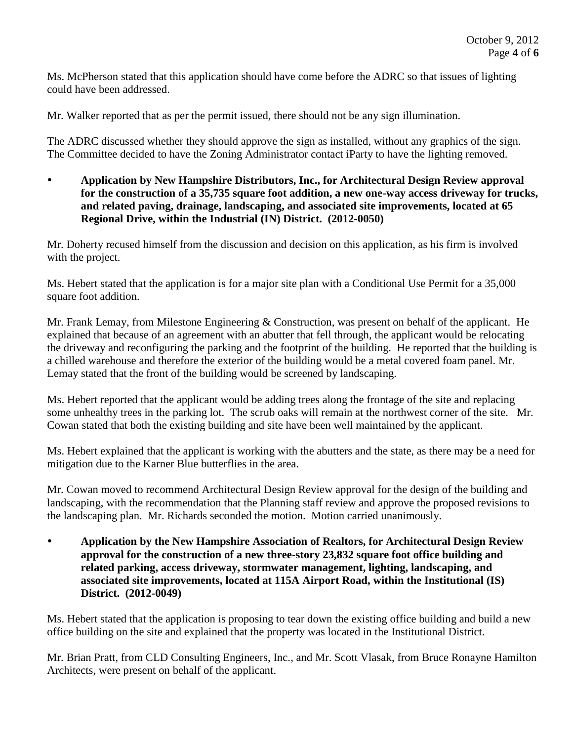Ms. McPherson stated that this application should have come before the ADRC so that issues of lighting could have been addressed.

Mr. Walker reported that as per the permit issued, there should not be any sign illumination.

The ADRC discussed whether they should approve the sign as installed, without any graphics of the sign. The Committee decided to have the Zoning Administrator contact iParty to have the lighting removed.

 **Application by New Hampshire Distributors, Inc., for Architectural Design Review approval for the construction of a 35,735 square foot addition, a new one-way access driveway for trucks, and related paving, drainage, landscaping, and associated site improvements, located at 65 Regional Drive, within the Industrial (IN) District. (2012-0050)**

Mr. Doherty recused himself from the discussion and decision on this application, as his firm is involved with the project.

Ms. Hebert stated that the application is for a major site plan with a Conditional Use Permit for a 35,000 square foot addition.

Mr. Frank Lemay, from Milestone Engineering & Construction, was present on behalf of the applicant. He explained that because of an agreement with an abutter that fell through, the applicant would be relocating the driveway and reconfiguring the parking and the footprint of the building. He reported that the building is a chilled warehouse and therefore the exterior of the building would be a metal covered foam panel. Mr. Lemay stated that the front of the building would be screened by landscaping.

Ms. Hebert reported that the applicant would be adding trees along the frontage of the site and replacing some unhealthy trees in the parking lot. The scrub oaks will remain at the northwest corner of the site. Mr. Cowan stated that both the existing building and site have been well maintained by the applicant.

Ms. Hebert explained that the applicant is working with the abutters and the state, as there may be a need for mitigation due to the Karner Blue butterflies in the area.

Mr. Cowan moved to recommend Architectural Design Review approval for the design of the building and landscaping, with the recommendation that the Planning staff review and approve the proposed revisions to the landscaping plan. Mr. Richards seconded the motion. Motion carried unanimously.

 **Application by the New Hampshire Association of Realtors, for Architectural Design Review approval for the construction of a new three-story 23,832 square foot office building and related parking, access driveway, stormwater management, lighting, landscaping, and associated site improvements, located at 115A Airport Road, within the Institutional (IS) District. (2012-0049)**

Ms. Hebert stated that the application is proposing to tear down the existing office building and build a new office building on the site and explained that the property was located in the Institutional District.

Mr. Brian Pratt, from CLD Consulting Engineers, Inc., and Mr. Scott Vlasak, from Bruce Ronayne Hamilton Architects, were present on behalf of the applicant.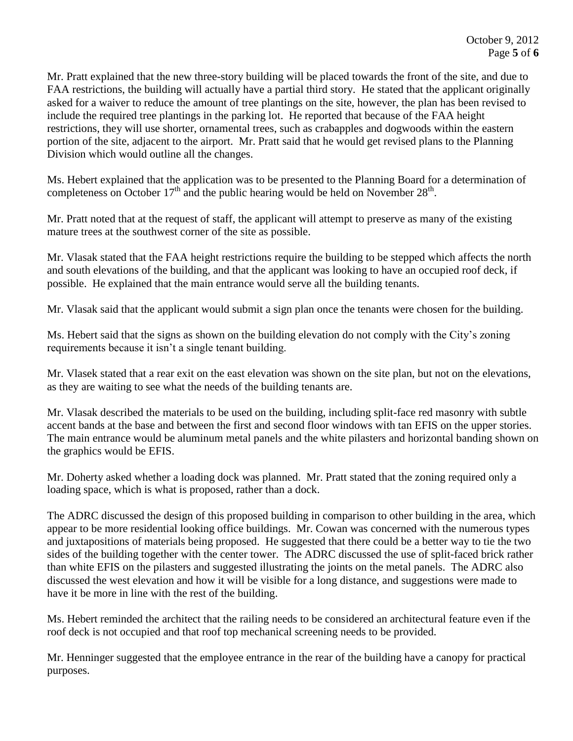Mr. Pratt explained that the new three-story building will be placed towards the front of the site, and due to FAA restrictions, the building will actually have a partial third story. He stated that the applicant originally asked for a waiver to reduce the amount of tree plantings on the site, however, the plan has been revised to include the required tree plantings in the parking lot. He reported that because of the FAA height restrictions, they will use shorter, ornamental trees, such as crabapples and dogwoods within the eastern portion of the site, adjacent to the airport. Mr. Pratt said that he would get revised plans to the Planning Division which would outline all the changes.

Ms. Hebert explained that the application was to be presented to the Planning Board for a determination of completeness on October  $17<sup>th</sup>$  and the public hearing would be held on November  $28<sup>th</sup>$ .

Mr. Pratt noted that at the request of staff, the applicant will attempt to preserve as many of the existing mature trees at the southwest corner of the site as possible.

Mr. Vlasak stated that the FAA height restrictions require the building to be stepped which affects the north and south elevations of the building, and that the applicant was looking to have an occupied roof deck, if possible. He explained that the main entrance would serve all the building tenants.

Mr. Vlasak said that the applicant would submit a sign plan once the tenants were chosen for the building.

Ms. Hebert said that the signs as shown on the building elevation do not comply with the City's zoning requirements because it isn't a single tenant building.

Mr. Vlasek stated that a rear exit on the east elevation was shown on the site plan, but not on the elevations, as they are waiting to see what the needs of the building tenants are.

Mr. Vlasak described the materials to be used on the building, including split-face red masonry with subtle accent bands at the base and between the first and second floor windows with tan EFIS on the upper stories. The main entrance would be aluminum metal panels and the white pilasters and horizontal banding shown on the graphics would be EFIS.

Mr. Doherty asked whether a loading dock was planned. Mr. Pratt stated that the zoning required only a loading space, which is what is proposed, rather than a dock.

The ADRC discussed the design of this proposed building in comparison to other building in the area, which appear to be more residential looking office buildings. Mr. Cowan was concerned with the numerous types and juxtapositions of materials being proposed. He suggested that there could be a better way to tie the two sides of the building together with the center tower. The ADRC discussed the use of split-faced brick rather than white EFIS on the pilasters and suggested illustrating the joints on the metal panels. The ADRC also discussed the west elevation and how it will be visible for a long distance, and suggestions were made to have it be more in line with the rest of the building.

Ms. Hebert reminded the architect that the railing needs to be considered an architectural feature even if the roof deck is not occupied and that roof top mechanical screening needs to be provided.

Mr. Henninger suggested that the employee entrance in the rear of the building have a canopy for practical purposes.